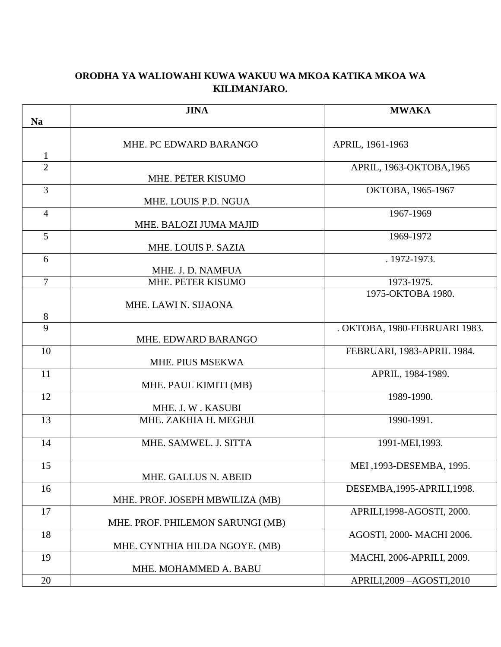## **ORODHA YA WALIOWAHI KUWA WAKUU WA MKOA KATIKA MKOA WA KILIMANJARO.**

|                | <b>JINA</b>                            | <b>MWAKA</b>                  |
|----------------|----------------------------------------|-------------------------------|
| <b>Na</b>      |                                        |                               |
|                | MHE. PC EDWARD BARANGO                 | APRIL, 1961-1963              |
| $\mathbf{1}$   |                                        |                               |
| $\overline{2}$ |                                        | APRIL, 1963-OKTOBA, 1965      |
|                | MHE. PETER KISUMO                      |                               |
| $\overline{3}$ | MHE. LOUIS P.D. NGUA                   | OKTOBA, 1965-1967             |
| $\overline{4}$ |                                        | 1967-1969                     |
|                | MHE. BALOZI JUMA MAJID                 |                               |
| 5              |                                        | 1969-1972                     |
|                | MHE. LOUIS P. SAZIA                    |                               |
| 6              |                                        | . 1972-1973.                  |
| $\overline{7}$ | MHE. J. D. NAMFUA<br>MHE. PETER KISUMO | 1973-1975.                    |
|                |                                        | 1975-OKTOBA 1980.             |
|                | MHE. LAWI N. SIJAONA                   |                               |
| $8\,$          |                                        |                               |
| 9              |                                        | . OKTOBA, 1980-FEBRUARI 1983. |
|                | MHE. EDWARD BARANGO                    |                               |
| 10             | MHE. PIUS MSEKWA                       | FEBRUARI, 1983-APRIL 1984.    |
| 11             |                                        | APRIL, 1984-1989.             |
|                | MHE. PAUL KIMITI (MB)                  |                               |
| 12             |                                        | 1989-1990.                    |
|                | MHE. J. W. KASUBI                      |                               |
| 13             | MHE. ZAKHIA H. MEGHJI                  | 1990-1991.                    |
| 14             | MHE. SAMWEL. J. SITTA                  | 1991-MEI, 1993.               |
|                |                                        |                               |
| 15             |                                        | MEI, 1993-DESEMBA, 1995.      |
|                | MHE. GALLUS N. ABEID                   |                               |
| 16             |                                        | DESEMBA, 1995-APRILI, 1998.   |
|                | MHE. PROF. JOSEPH MBWILIZA (MB)        |                               |
| 17             |                                        | APRILI, 1998-AGOSTI, 2000.    |
| 18             | MHE. PROF. PHILEMON SARUNGI (MB)       | AGOSTI, 2000-MACHI 2006.      |
|                | MHE. CYNTHIA HILDA NGOYE. (MB)         |                               |
| 19             |                                        | MACHI, 2006-APRILI, 2009.     |
|                | MHE. MOHAMMED A. BABU                  |                               |
| 20             |                                        | APRILI, 2009 - AGOSTI, 2010   |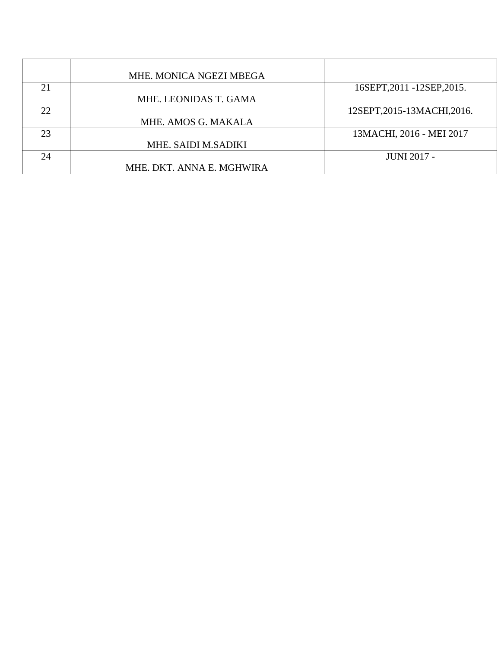|    | MHE. MONICA NGEZI MBEGA   |                             |
|----|---------------------------|-----------------------------|
| 21 |                           | 16SEPT, 2011 - 12SEP, 2015. |
|    | MHE. LEONIDAS T. GAMA     |                             |
| 22 |                           | 12SEPT, 2015-13MACHI, 2016. |
|    | MHE. AMOS G. MAKALA       |                             |
| 23 |                           | 13MACHI, 2016 - MEI 2017    |
|    | MHE. SAIDI M.SADIKI       |                             |
| 24 |                           | <b>JUNI 2017 -</b>          |
|    | MHE. DKT. ANNA E. MGHWIRA |                             |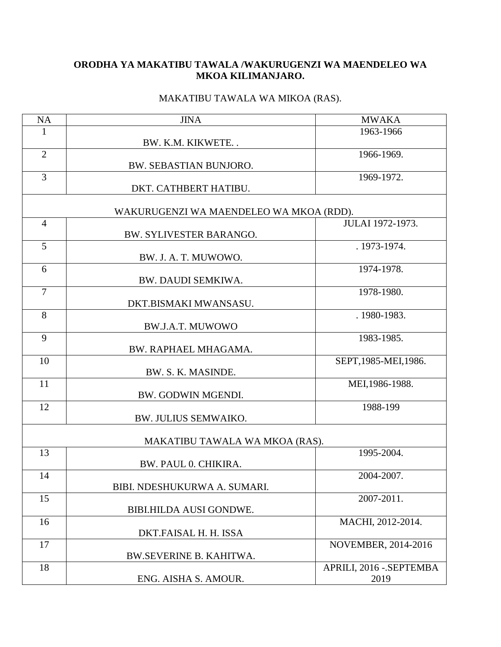## **ORODHA YA MAKATIBU TAWALA /WAKURUGENZI WA MAENDELEO WA MKOA KILIMANJARO.**

## MAKATIBU TAWALA WA MIKOA (RAS).

| NA             | <b>JINA</b>                             | <b>MWAKA</b>            |
|----------------|-----------------------------------------|-------------------------|
| 1              |                                         | 1963-1966               |
|                | BW. K.M. KIKWETE                        |                         |
| $\overline{2}$ |                                         | 1966-1969.              |
|                | BW. SEBASTIAN BUNJORO.                  |                         |
| 3              |                                         | 1969-1972.              |
|                | DKT. CATHBERT HATIBU.                   |                         |
|                | WAKURUGENZI WA MAENDELEO WA MKOA (RDD). |                         |
| $\overline{4}$ |                                         | JULAI 1972-1973.        |
|                | BW. SYLIVESTER BARANGO.                 |                         |
| 5              |                                         | . 1973-1974.            |
|                | BW. J. A. T. MUWOWO.                    |                         |
| 6              |                                         | 1974-1978.              |
|                | BW. DAUDI SEMKIWA.                      |                         |
| $\overline{7}$ |                                         | 1978-1980.              |
|                | DKT.BISMAKI MWANSASU.                   |                         |
| 8              |                                         | . 1980-1983.            |
|                | <b>BW.J.A.T. MUWOWO</b>                 |                         |
| 9              |                                         | 1983-1985.              |
|                | BW. RAPHAEL MHAGAMA.                    |                         |
| 10             |                                         | SEPT, 1985-MEI, 1986.   |
|                | BW. S. K. MASINDE.                      |                         |
| 11             |                                         | MEI, 1986-1988.         |
|                | BW. GODWIN MGENDI.                      |                         |
| 12             |                                         | 1988-199                |
|                | BW. JULIUS SEMWAIKO.                    |                         |
|                |                                         |                         |
|                | MAKATIBU TAWALA WA MKOA (RAS).          |                         |
| 13             |                                         | 1995-2004.              |
|                | BW. PAUL 0. CHIKIRA.                    |                         |
| 14             |                                         | 2004-2007.              |
|                | BIBI. NDESHUKURWA A. SUMARI.            |                         |
| 15             |                                         | 2007-2011.              |
|                | BIBI.HILDA AUSI GONDWE.                 |                         |
| 16             |                                         | MACHI, 2012-2014.       |
|                | DKT.FAISAL H. H. ISSA                   |                         |
| 17             |                                         | NOVEMBER, 2014-2016     |
|                | <b>BW.SEVERINE B. KAHITWA.</b>          |                         |
| 18             |                                         | APRILI, 2016 - SEPTEMBA |
|                | ENG. AISHA S. AMOUR.                    | 2019                    |